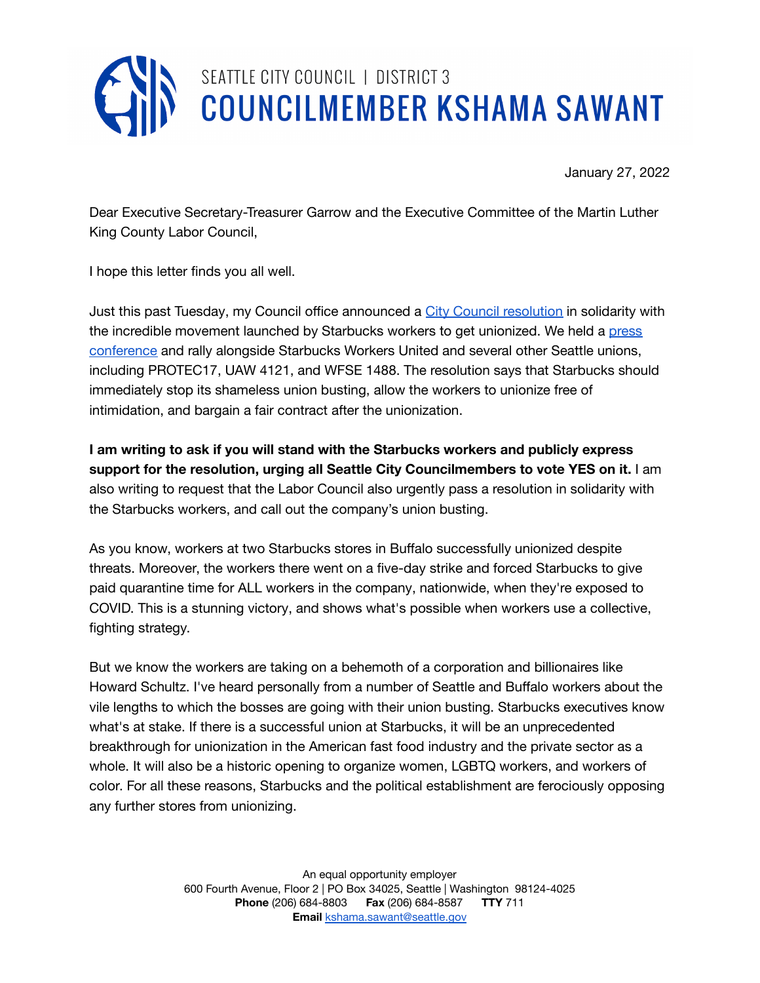

January 27, 2022

Dear Executive Secretary-Treasurer Garrow and the Executive Committee of the Martin Luther King County Labor Council,

I hope this letter finds you all well.

Just this past Tuesday, my Council office announced a City Council [resolution](https://docs.google.com/document/d/1i9syqPwlANDxxsazNPW-IhCSQJJs48P9/edit) in solidarity with the incredible movement launched by Starbucks workers to get unionized. We held a [press](https://seattlechannel.org/mayor-and-council/city-council/council-press-conferences?videoid=x134960) [conference](https://seattlechannel.org/mayor-and-council/city-council/council-press-conferences?videoid=x134960) and rally alongside Starbucks Workers United and several other Seattle unions, including PROTEC17, UAW 4121, and WFSE 1488. The resolution says that Starbucks should immediately stop its shameless union busting, allow the workers to unionize free of intimidation, and bargain a fair contract after the unionization.

**I am writing to ask if you will stand with the Starbucks workers and publicly express support for the resolution, urging all Seattle City Councilmembers to vote YES on it.** I am also writing to request that the Labor Council also urgently pass a resolution in solidarity with the Starbucks workers, and call out the company's union busting.

As you know, workers at two Starbucks stores in Buffalo successfully unionized despite threats. Moreover, the workers there went on a five-day strike and forced Starbucks to give paid quarantine time for ALL workers in the company, nationwide, when they're exposed to COVID. This is a stunning victory, and shows what's possible when workers use a collective, fighting strategy.

But we know the workers are taking on a behemoth of a corporation and billionaires like Howard Schultz. I've heard personally from a number of Seattle and Buffalo workers about the vile lengths to which the bosses are going with their union busting. Starbucks executives know what's at stake. If there is a successful union at Starbucks, it will be an unprecedented breakthrough for unionization in the American fast food industry and the private sector as a whole. It will also be a historic opening to organize women, LGBTQ workers, and workers of color. For all these reasons, Starbucks and the political establishment are ferociously opposing any further stores from unionizing.